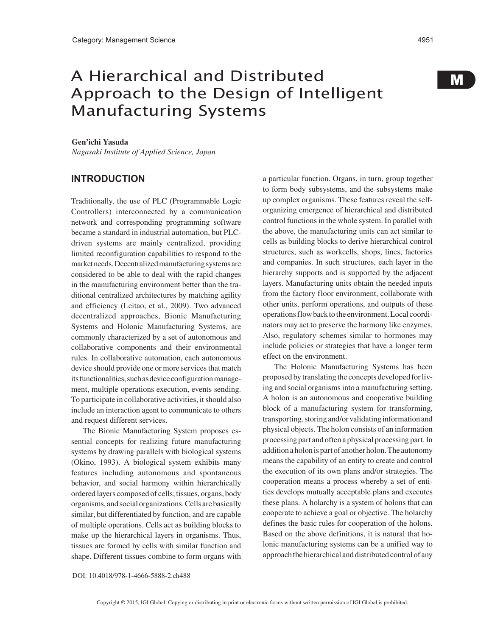# A Hierarchical and Distributed Approach to the Design of Intelligent Manufacturing Systems

M

#### **Gen'ichi Yasuda**

*Nagasaki Institute of Applied Science, Japan*

## **INTRODUCTION**

Traditionally, the use of PLC (Programmable Logic Controllers) interconnected by a communication network and corresponding programming software became a standard in industrial automation, but PLCdriven systems are mainly centralized, providing limited reconfiguration capabilities to respond to the market needs. Decentralized manufacturing systems are considered to be able to deal with the rapid changes in the manufacturing environment better than the traditional centralized architectures by matching agility and efficiency (Leitao, et al., 2009). Two advanced decentralized approaches, Bionic Manufacturing Systems and Holonic Manufacturing Systems, are commonly characterized by a set of autonomous and collaborative components and their environmental rules. In collaborative automation, each autonomous device should provide one or more services that match its functionalities, such as device configuration management, multiple operations execution, events sending. To participate in collaborative activities, it should also include an interaction agent to communicate to others and request different services.

The Bionic Manufacturing System proposes essential concepts for realizing future manufacturing systems by drawing parallels with biological systems (Okino, 1993). A biological system exhibits many features including autonomous and spontaneous behavior, and social harmony within hierarchically ordered layers composed of cells; tissues, organs, body organisms, and social organizations. Cells are basically similar, but differentiated by function, and are capable of multiple operations. Cells act as building blocks to make up the hierarchical layers in organisms. Thus, tissues are formed by cells with similar function and shape. Different tissues combine to form organs with

a particular function. Organs, in turn, group together to form body subsystems, and the subsystems make up complex organisms. These features reveal the selforganizing emergence of hierarchical and distributed control functions in the whole system. In parallel with the above, the manufacturing units can act similar to cells as building blocks to derive hierarchical control structures, such as workcells, shops, lines, factories and companies. In such structures, each layer in the hierarchy supports and is supported by the adjacent layers. Manufacturing units obtain the needed inputs from the factory floor environment, collaborate with other units, perform operations, and outputs of these operations flow back to the environment. Local coordinators may act to preserve the harmony like enzymes. Also, regulatory schemes similar to hormones may include policies or strategies that have a longer term effect on the environment.

The Holonic Manufacturing Systems has been proposed by translating the concepts developed for living and social organisms into a manufacturing setting. A holon is an autonomous and cooperative building block of a manufacturing system for transforming, transporting, storing and/or validating information and physical objects. The holon consists of an information processing part and often a physical processing part. In addition a holon is part of another holon. The autonomy means the capability of an entity to create and control the execution of its own plans and/or strategies. The cooperation means a process whereby a set of entities develops mutually acceptable plans and executes these plans. A holarchy is a system of holons that can cooperate to achieve a goal or objective. The holarchy defines the basic rules for cooperation of the holons. Based on the above definitions, it is natural that holonic manufacturing systems can be a unified way to approach the hierarchical and distributed control of any

#### DOI: 10.4018/978-1-4666-5888-2.ch488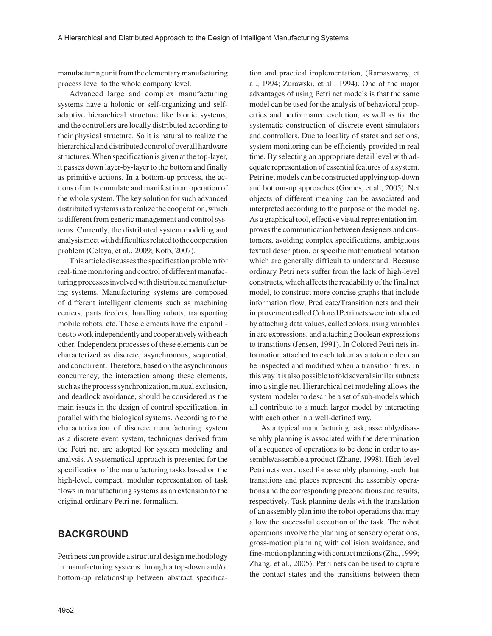manufacturing unit from the elementary manufacturing process level to the whole company level.

Advanced large and complex manufacturing systems have a holonic or self-organizing and selfadaptive hierarchical structure like bionic systems, and the controllers are locally distributed according to their physical structure. So it is natural to realize the hierarchical and distributed control of overall hardware structures. When specification is given at the top-layer, it passes down layer-by-layer to the bottom and finally as primitive actions. In a bottom-up process, the actions of units cumulate and manifest in an operation of the whole system. The key solution for such advanced distributed systems is to realize the cooperation, which is different from generic management and control systems. Currently, the distributed system modeling and analysis meet with difficulties related to the cooperation problem (Celaya, et al., 2009; Kotb, 2007).

This article discusses the specification problem for real-time monitoring and control of different manufacturing processes involved with distributed manufacturing systems. Manufacturing systems are composed of different intelligent elements such as machining centers, parts feeders, handling robots, transporting mobile robots, etc. These elements have the capabilities to work independently and cooperatively with each other. Independent processes of these elements can be characterized as discrete, asynchronous, sequential, and concurrent. Therefore, based on the asynchronous concurrency, the interaction among these elements, such as the process synchronization, mutual exclusion, and deadlock avoidance, should be considered as the main issues in the design of control specification, in parallel with the biological systems. According to the characterization of discrete manufacturing system as a discrete event system, techniques derived from the Petri net are adopted for system modeling and analysis. A systematical approach is presented for the specification of the manufacturing tasks based on the high-level, compact, modular representation of task flows in manufacturing systems as an extension to the original ordinary Petri net formalism.

## **BACKGROUND**

Petri nets can provide a structural design methodology in manufacturing systems through a top-down and/or bottom-up relationship between abstract specification and practical implementation, (Ramaswamy, et al., 1994; Zurawski, et al., 1994). One of the major advantages of using Petri net models is that the same model can be used for the analysis of behavioral properties and performance evolution, as well as for the systematic construction of discrete event simulators and controllers. Due to locality of states and actions, system monitoring can be efficiently provided in real time. By selecting an appropriate detail level with adequate representation of essential features of a system, Petri net models can be constructed applying top-down and bottom-up approaches (Gomes, et al., 2005). Net objects of different meaning can be associated and interpreted according to the purpose of the modeling. As a graphical tool, effective visual representation improves the communication between designers and customers, avoiding complex specifications, ambiguous textual description, or specific mathematical notation which are generally difficult to understand. Because ordinary Petri nets suffer from the lack of high-level constructs, which affects the readability of the final net model, to construct more concise graphs that include information flow, Predicate/Transition nets and their improvement called Colored Petri nets were introduced by attaching data values, called colors, using variables in arc expressions, and attaching Boolean expressions to transitions (Jensen, 1991). In Colored Petri nets information attached to each token as a token color can be inspected and modified when a transition fires. In this way it is also possible to fold several similar subnets into a single net. Hierarchical net modeling allows the system modeler to describe a set of sub-models which all contribute to a much larger model by interacting with each other in a well-defined way.

As a typical manufacturing task, assembly/disassembly planning is associated with the determination of a sequence of operations to be done in order to assemble/assemble a product (Zhang, 1998). High-level Petri nets were used for assembly planning, such that transitions and places represent the assembly operations and the corresponding preconditions and results, respectively. Task planning deals with the translation of an assembly plan into the robot operations that may allow the successful execution of the task. The robot operations involve the planning of sensory operations, gross-motion planning with collision avoidance, and fine-motion planning with contact motions (Zha, 1999; Zhang, et al., 2005). Petri nets can be used to capture the contact states and the transitions between them